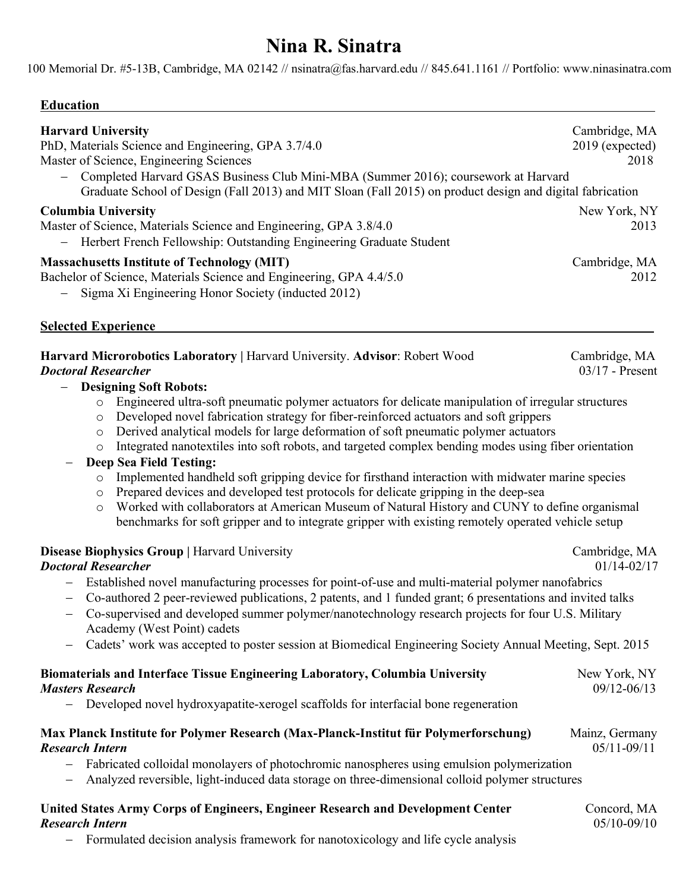# **Nina R. Sinatra**

100 Memorial Dr. #5-13B, Cambridge, MA 02142 // nsinatra@fas.harvard.edu // 845.641.1161 // Portfolio: www.ninasinatra.com

### **Education .**

| <b>Harvard University</b><br>PhD, Materials Science and Engineering, GPA 3.7/4.0<br>Master of Science, Engineering Sciences                                                                     | Cambridge, MA<br>$2019$ (expected)<br>2018 |
|-------------------------------------------------------------------------------------------------------------------------------------------------------------------------------------------------|--------------------------------------------|
| Completed Harvard GSAS Business Club Mini-MBA (Summer 2016); coursework at Harvard<br>Graduate School of Design (Fall 2013) and MIT Sloan (Fall 2015) on product design and digital fabrication |                                            |
| <b>Columbia University</b><br>Master of Science, Materials Science and Engineering, GPA 3.8/4.0<br>- Herbert French Fellowship: Outstanding Engineering Graduate Student                        | New York, NY<br>2013                       |
| <b>Massachusetts Institute of Technology (MIT)</b><br>Bachelor of Science, Materials Science and Engineering, GPA 4.4/5.0<br>- Sigma Xi Engineering Honor Society (inducted 2012)               | Cambridge, MA<br>2012                      |

### **Selected Experience .**

| Harvard Microrobotics Laboratory   Harvard University. Advisor: Robert Wood | Cambridge, MA     |
|-----------------------------------------------------------------------------|-------------------|
| <b>Doctoral Researcher</b>                                                  | $03/17$ - Present |
|                                                                             |                   |

### - **Designing Soft Robots:**

- o Engineered ultra-soft pneumatic polymer actuators for delicate manipulation of irregular structures
- o Developed novel fabrication strategy for fiber-reinforced actuators and soft grippers
- o Derived analytical models for large deformation of soft pneumatic polymer actuators
- o Integrated nanotextiles into soft robots, and targeted complex bending modes using fiber orientation

### - **Deep Sea Field Testing:**

- o Implemented handheld soft gripping device for firsthand interaction with midwater marine species
- o Prepared devices and developed test protocols for delicate gripping in the deep-sea
- o Worked with collaborators at American Museum of Natural History and CUNY to define organismal benchmarks for soft gripper and to integrate gripper with existing remotely operated vehicle setup

### **Disease Biophysics Group |** Harvard UniversityCambridge, MA

### *Doctoral Researcher* 01/14-02/17

- Established novel manufacturing processes for point-of-use and multi-material polymer nanofabrics
- Co-authored 2 peer-reviewed publications, 2 patents, and 1 funded grant; 6 presentations and invited talks
- Co-supervised and developed summer polymer/nanotechnology research projects for four U.S. Military Academy (West Point) cadets
- Cadets' work was accepted to poster session at Biomedical Engineering Society Annual Meeting, Sept. 2015

| <b>Biomaterials and Interface Tissue Engineering Laboratory, Columbia University</b>                            | New York, NY      |
|-----------------------------------------------------------------------------------------------------------------|-------------------|
| <b>Masters Research</b><br>- Developed novel hydroxyapatite-xerogel scaffolds for interfacial bone regeneration | $09/12 - 06/13$   |
|                                                                                                                 |                   |
| <b>Research Intern</b>                                                                                          | $0.5/11 - 0.9/11$ |

- Fabricated colloidal monolayers of photochromic nanospheres using emulsion polymerization
- Analyzed reversible, light-induced data storage on three-dimensional colloid polymer structures
- United States Army Corps of Engineers, Engineer Research and Development Center **Concord, MA** *Research Intern* 05/10-09/10

- Formulated decision analysis framework for nanotoxicology and life cycle analysis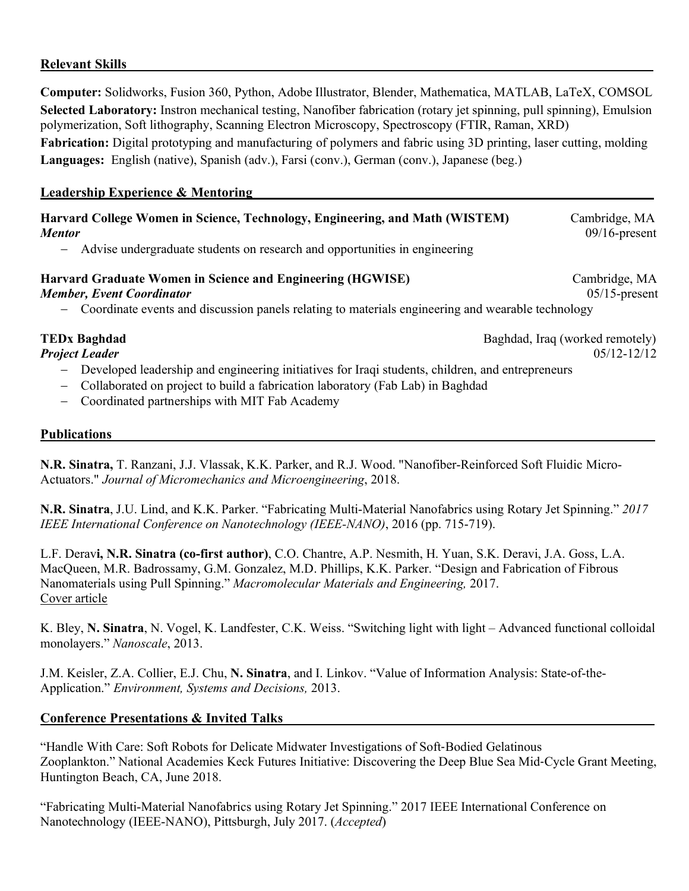### **Relevant Skills .**

**Computer:** Solidworks, Fusion 360, Python, Adobe Illustrator, Blender, Mathematica, MATLAB, LaTeX, COMSOL **Selected Laboratory:** Instron mechanical testing, Nanofiber fabrication (rotary jet spinning, pull spinning), Emulsion polymerization, Soft lithography, Scanning Electron Microscopy, Spectroscopy (FTIR, Raman, XRD) Fabrication: Digital prototyping and manufacturing of polymers and fabric using 3D printing, laser cutting, molding **Languages:** English (native), Spanish (adv.), Farsi (conv.), German (conv.), Japanese (beg.)

### **Leadership Experience & Mentoring .**

### **Harvard College Women in Science, Technology, Engineering, and Math (WISTEM)** Cambridge, MA *Mentor* 09/16-present

- Advise undergraduate students on research and opportunities in engineering

### **Harvard Graduate Women in Science and Engineering (HGWISE)** Cambridge, MA *Member, Event Coordinator* 05/15-present

- Coordinate events and discussion panels relating to materials engineering and wearable technology

**TEDx Baghdad Baghdad Baghdad**, Iraq (worked remotely) *Project Leader*05/12-12/12

- Developed leadership and engineering initiatives for Iraqi students, children, and entrepreneurs
- Collaborated on project to build a fabrication laboratory (Fab Lab) in Baghdad
- Coordinated partnerships with MIT Fab Academy

### **Publications .**

**N.R. Sinatra,** T. Ranzani, J.J. Vlassak, K.K. Parker, and R.J. Wood. "Nanofiber-Reinforced Soft Fluidic Micro-Actuators." *Journal of Micromechanics and Microengineering*, 2018.

**N.R. Sinatra**, J.U. Lind, and K.K. Parker. "Fabricating Multi-Material Nanofabrics using Rotary Jet Spinning." *2017 IEEE International Conference on Nanotechnology (IEEE-NANO)*, 2016 (pp. 715-719).

L.F. Derav**i, N.R. Sinatra (co-first author)**, C.O. Chantre, A.P. Nesmith, H. Yuan, S.K. Deravi, J.A. Goss, L.A. MacQueen, M.R. Badrossamy, G.M. Gonzalez, M.D. Phillips, K.K. Parker. "Design and Fabrication of Fibrous Nanomaterials using Pull Spinning." *Macromolecular Materials and Engineering,* 2017. Cover article

K. Bley, **N. Sinatra**, N. Vogel, K. Landfester, C.K. Weiss. "Switching light with light – Advanced functional colloidal monolayers." *Nanoscale*, 2013.

J.M. Keisler, Z.A. Collier, E.J. Chu, **N. Sinatra**, and I. Linkov. "Value of Information Analysis: State-of-the-Application." *Environment, Systems and Decisions,* 2013.

### **Conference Presentations & Invited Talks .**

"Handle With Care: Soft Robots for Delicate Midwater Investigations of Soft-Bodied Gelatinous Zooplankton." National Academies Keck Futures Initiative: Discovering the Deep Blue Sea Mid-Cycle Grant Meeting, Huntington Beach, CA, June 2018.

"Fabricating Multi-Material Nanofabrics using Rotary Jet Spinning." 2017 IEEE International Conference on Nanotechnology (IEEE-NANO), Pittsburgh, July 2017. (*Accepted*)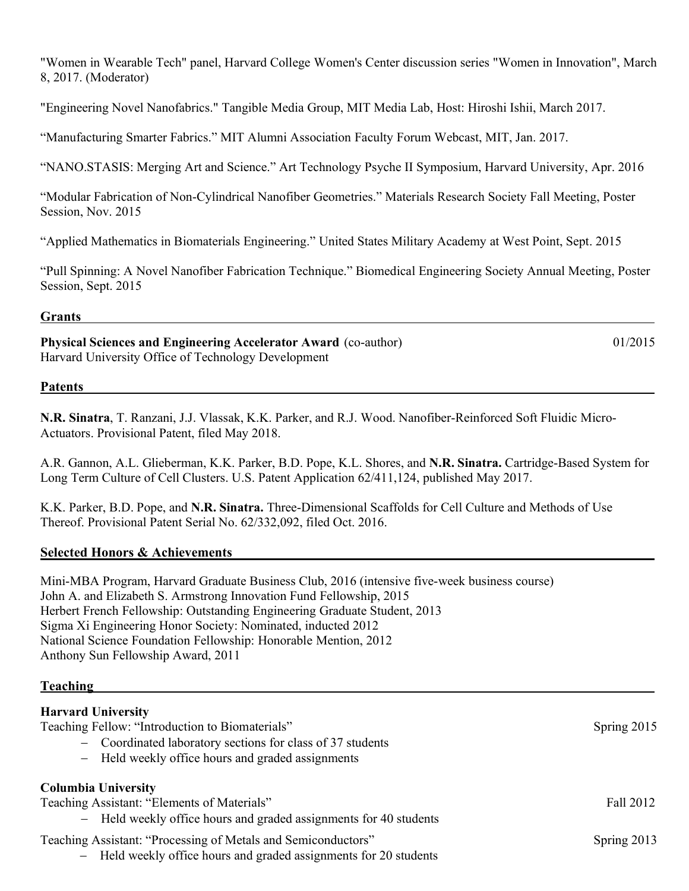"Women in Wearable Tech" panel, Harvard College Women's Center discussion series "Women in Innovation", March 8, 2017. (Moderator)

"Engineering Novel Nanofabrics." Tangible Media Group, MIT Media Lab, Host: Hiroshi Ishii, March 2017.

"Manufacturing Smarter Fabrics." MIT Alumni Association Faculty Forum Webcast, MIT, Jan. 2017.

"NANO.STASIS: Merging Art and Science." Art Technology Psyche II Symposium, Harvard University, Apr. 2016

"Modular Fabrication of Non-Cylindrical Nanofiber Geometries." Materials Research Society Fall Meeting, Poster Session, Nov. 2015

"Applied Mathematics in Biomaterials Engineering." United States Military Academy at West Point, Sept. 2015

"Pull Spinning: A Novel Nanofiber Fabrication Technique." Biomedical Engineering Society Annual Meeting, Poster Session, Sept. 2015

### **Grants** . *Grants* . *Construction* **. <b>***Construction* **.**  *Construction* **.**  *Construction* **.**  *Construction* **.**  *Construction* **.**  *Construction* **.**  *Construction* **.**  *Construction* **.**  *Construction* **.**

**Physical Sciences and Engineering Accelerator Award** (co-author)01/2015 Harvard University Office of Technology Development

### **Patents .**

**N.R. Sinatra**, T. Ranzani, J.J. Vlassak, K.K. Parker, and R.J. Wood. Nanofiber-Reinforced Soft Fluidic Micro-Actuators. Provisional Patent, filed May 2018.

A.R. Gannon, A.L. Glieberman, K.K. Parker, B.D. Pope, K.L. Shores, and **N.R. Sinatra.** Cartridge-Based System for Long Term Culture of Cell Clusters. U.S. Patent Application 62/411,124, published May 2017.

K.K. Parker, B.D. Pope, and **N.R. Sinatra.** Three-Dimensional Scaffolds for Cell Culture and Methods of Use Thereof. Provisional Patent Serial No. 62/332,092, filed Oct. 2016.

### **Selected Honors & Achievements .**

| Mini-MBA Program, Harvard Graduate Business Club, 2016 (intensive five-week business course) |
|----------------------------------------------------------------------------------------------|
| John A. and Elizabeth S. Armstrong Innovation Fund Fellowship, 2015                          |
| Herbert French Fellowship: Outstanding Engineering Graduate Student, 2013                    |
| Sigma Xi Engineering Honor Society: Nominated, inducted 2012                                 |
| National Science Foundation Fellowship: Honorable Mention, 2012                              |
| Anthony Sun Fellowship Award, 2011                                                           |
|                                                                                              |

### **Teaching .**

### **Harvard University**

Teaching Fellow: "Introduction to Biomaterials" Spring 2015

- Coordinated laboratory sections for class of 37 students
- Held weekly office hours and graded assignments

## **Columbia University** Teaching Assistant: "Elements of Materials" Fall 2012

- Held weekly office hours and graded assignments for 40 students
- Teaching Assistant: "Processing of Metals and Semiconductors" Spring 2013
	- Held weekly office hours and graded assignments for 20 students